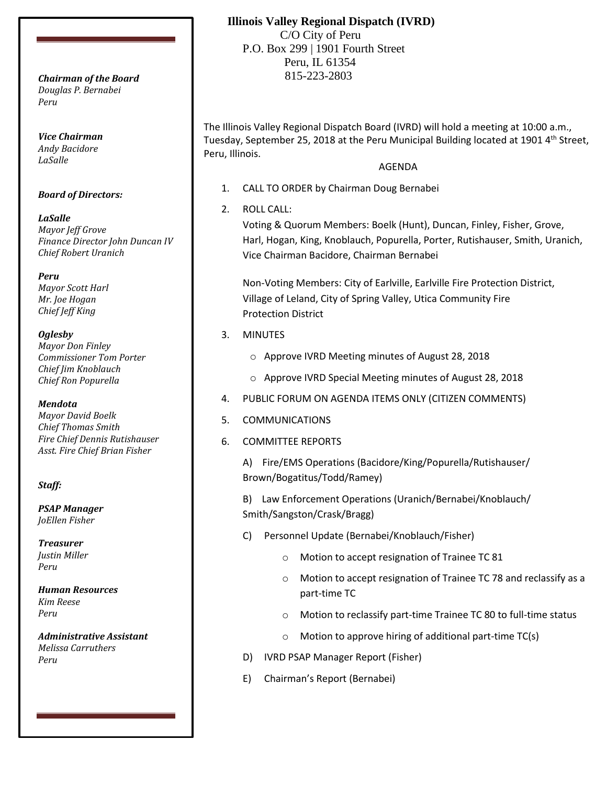*Douglas P. Bernabei Peru*

*Vice Chairman Andy Bacidore LaSalle*

#### *Board of Directors:*

*LaSalle Mayor Jeff Grove Finance Director John Duncan IV Chief Robert Uranich*

*Peru Mayor Scott Harl Mr. Joe Hogan Chief Jeff King*

#### *Oglesby*

*Mayor Don Finley Commissioner Tom Porter Chief Jim Knoblauch Chief Ron Popurella*

#### *Mendota*

*Mayor David Boelk Chief Thomas Smith Fire Chief Dennis Rutishauser Asst. Fire Chief Brian Fisher*

#### *Staff:*

*PSAP Manager JoEllen Fisher*

*Treasurer Justin Miller Peru*

*Human Resources Kim Reese Peru*

*Administrative Assistant Melissa Carruthers Peru*

# **Illinois Valley Regional Dispatch (IVRD)**

 C/O City of Peru P.O. Box 299 | 1901 Fourth Street Peru, IL 61354 815-223-2803 *Chairman of the Board*

> The Illinois Valley Regional Dispatch Board (IVRD) will hold a meeting at 10:00 a.m., Tuesday, September 25, 2018 at the Peru Municipal Building located at 1901 4<sup>th</sup> Street, Peru, Illinois.

#### AGENDA

- 1. CALL TO ORDER by Chairman Doug Bernabei
- 2. ROLL CALL:

Voting & Quorum Members: Boelk (Hunt), Duncan, Finley, Fisher, Grove, Harl, Hogan, King, Knoblauch, Popurella, Porter, Rutishauser, Smith, Uranich, Vice Chairman Bacidore, Chairman Bernabei

Non-Voting Members: City of Earlville, Earlville Fire Protection District, Village of Leland, City of Spring Valley, Utica Community Fire Protection District

## 3. MINUTES

- o Approve IVRD Meeting minutes of August 28, 2018
- o Approve IVRD Special Meeting minutes of August 28, 2018
- 4. PUBLIC FORUM ON AGENDA ITEMS ONLY (CITIZEN COMMENTS)
- 5. COMMUNICATIONS
- 6. COMMITTEE REPORTS

A) Fire/EMS Operations (Bacidore/King/Popurella/Rutishauser/ Brown/Bogatitus/Todd/Ramey)

B) Law Enforcement Operations (Uranich/Bernabei/Knoblauch/ Smith/Sangston/Crask/Bragg)

- C) Personnel Update (Bernabei/Knoblauch/Fisher)
	- o Motion to accept resignation of Trainee TC 81
	- o Motion to accept resignation of Trainee TC 78 and reclassify as a part-time TC
	- o Motion to reclassify part-time Trainee TC 80 to full-time status
	- o Motion to approve hiring of additional part-time TC(s)
- D) IVRD PSAP Manager Report (Fisher)
- E) Chairman's Report (Bernabei)